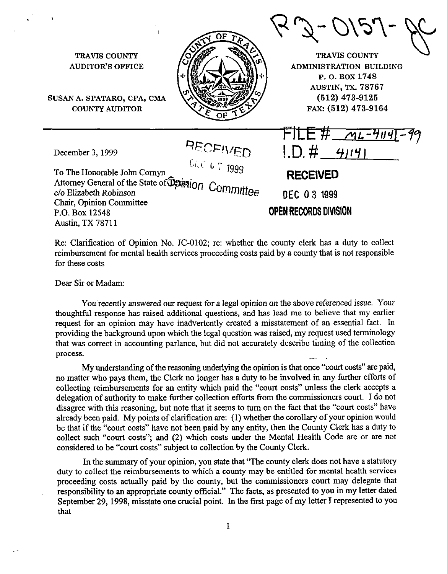TRAVIS COUNTY AUDITOR'S OFFICE SUSAN A. SPATARO, CPA, CMA COUNTY AUDITOR TRAVIS COUNTY ADMINISTRATION BUILDING P. o. BOX 1748 AUSTIN, TX. 78767 (512) 473-9125 FAX: (512) 473-9164 . . . - *JrnL-YlNl-77*  December 3, 1999  $ID. # 41191$ To The Honorable John Comyn Ci.c G T 1999 Attorney General of the State of  $\mathbb{Q}_\xi^*$ **RECEIVED**  c/o Elizabeth Robinson Chair, Opinion Committee P.O. Box 12548 Cammi e OEC 0 3 1999 OPEN RECORDS *OIVISION*  Austin, TX 78711

Re: Clarification of Opinion No. JC-0102; re: whether the county clerk has a duty to collect reimbursement for mental health services proceeding costs paid by a county that is not responsible for these costs

Dear Sir or Madam:

You recently answered our request for a legal opinion on the above referenced issue. Your thoughtful response has raised additional questions, and has lead me to believe that my earlier request for an opinion may have inadvertently created a misstatement of an essential fact. In providing the background upon which the legal question was raised, my request used terminology that was correct in accounting parlance, but did not accurately describe timing of the collection process.

My understanding of the reasoning underlying the opinion is that once "court costs" are paid, no matter who pays them, the Clerk no longer has a duty to be involved in any further efforts of collecting reimbursements for an entity which paid the "court costs" unless the clerk accepts a delegation of authority to make further collection efforts from the commissioners court. I do not disagree with this reasoning, but note that it seems to turn on the fact that the "court costs" have already been paid. My points of clarification are: (1) whether the corollary of your opinion would be that if the "court costs" have not been paid by any entity, then the County Clerk has a duty to collect such "court costs"; and (2) which costs under the Mental Health Code are or are not considered to be "court costs" subject to collection by the County Clerk.

In the summary of your opinion, you state that "The county clerk does not have a statutory duty to collect the reimbursements to which a county may be entitled for mental health services proceeding costs actually paid by the county, but the commissioners court may delegate that responsibility to an appropriate county official." The facts, as presented to you in my letter dated September 29, 1998, misstate one crucial point. In the first page of my letter I represented to you that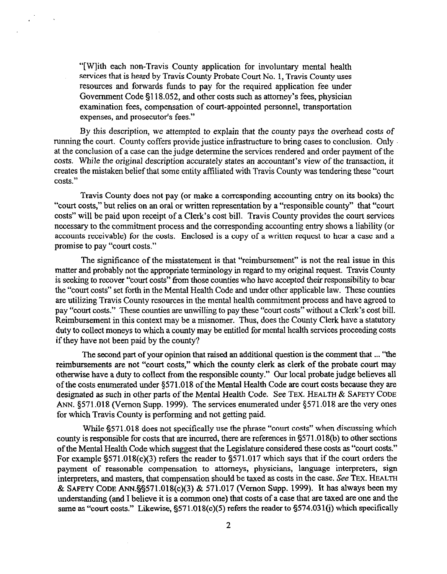"[Wlith each non-Travis County application for involuntary mental health services that is heard by Travis County Probate Court No. 1, Travis County uses resources and forwards funds to pay for the required application fee under Government Code 5118.052, and other costs such as attorney's fees, physician examination fees, compensation of court-appointed personnel, transportation expenses, and prosecutor's fees."

By this description, we attempted to explain that the county pays the overhead costs of running the court. County coffers provide justice infrastructure to bring cases to conclusion. Only at the conclusion of a case can the judge determine the services rendered and order payment of the costs. While the original description accurately states an accountant's view of the transaction, it creates the mistaken belief that some entity affiliated with Travis County was tendering these "court costs."

Travis County does not pay (or make a corresponding accounting entry on its books) the "court costs," but relies on an oral or written representation by a "responsible county" that "court costs" will be paid upon receipt of a Clerk's cost bill. Travis County provides the court services necessary to the commitment process and the corresponding accounting entry shows a liability (or accounts receivable) for the costs. Enclosed is a copy of a written request to hear a case and a promise to pay "court costs."

The significance of the misstatement is that "reimbursement" is not the real issue in this matter and probably not the appropriate terminology in regard to my original request. Travis County is seeking to recover "court costs" from those counties who have accepted their responsibility to bear the "court costs" set forth in the Mental Health Code and under other applicable law. These counties are utilizing Travis County resources in the mental health commitment process and have agreed to pay "court costs." These counties are unwilling to pay these "court costs" without a Clerk's cost bill. Reimbursement in this context may be a misnomer. Thus, does the County Clerk have a statutory duty to collect moneys to which a county may be entitled for mental health services proceeding costs if they have not been paid by the county?

The second part of your opinion that raised an additional question is the comment that . . . "the reimbursements are not "court costs," which the county clerk as clerk of the probate court may otherwise have a duty to collect from the responsible county." Our local probate judge believes all of the costs enumerated under \$571.018 of the Mental Health Code are court costs because they are designated as such in other parts of the Mental Health Code. See TEX. HEALTH & SAFETY CODE ANN. \$571.018 (Vernon Supp. 1999). The services enumerated under \$571.018 are the very ones for which Travis County is performing and not getting paid.

While \$571,018 does not specifically use the phrase "court costs" when discussing which county is responsible for costs that are incurred, there are references in 5571.018(b) to other sections of the Mental Health Code which suggest that the Legislature considered these costs as "court costs." For example §571.018(c)(3) refers the reader to §571.017 which says that if the court orders the payment of reasonable compensation to attorneys, physicians, language interpreters, sign interpreters, and masters, that compensation should be taxed as costs in the case. See TEX. HEALTH & SAFETY CODE ANN. \$\$571.018(c)(3) & 571.017 (Vernon Supp. 1999). It has always been my understanding (and I believe it is a common one) that costs of a case that are taxed are one and the same as "court costs." Likewise, 5571.018(c)(S) refers the reader to 5574.031(j) which specifically